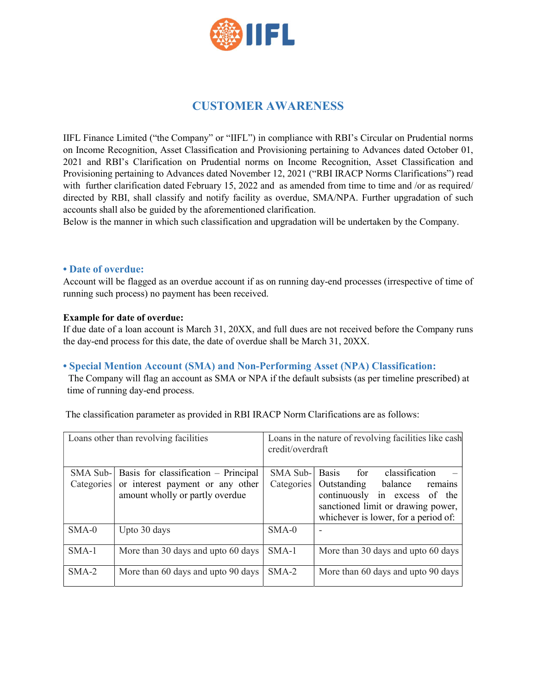

# CUSTOMER AWARENESS

IIFL Finance Limited ("the Company" or "IIFL") in compliance with RBI's Circular on Prudential norms on Income Recognition, Asset Classification and Provisioning pertaining to Advances dated October 01, 2021 and RBI's Clarification on Prudential norms on Income Recognition, Asset Classification and Provisioning pertaining to Advances dated November 12, 2021 ("RBI IRACP Norms Clarifications") read with further clarification dated February 15, 2022 and as amended from time to time and /or as required/ directed by RBI, shall classify and notify facility as overdue, SMA/NPA. Further upgradation of such accounts shall also be guided by the aforementioned clarification.

Below is the manner in which such classification and upgradation will be undertaken by the Company.

#### • Date of overdue:

Account will be flagged as an overdue account if as on running day-end processes (irrespective of time of running such process) no payment has been received.

#### Example for date of overdue:

If due date of a loan account is March 31, 20XX, and full dues are not received before the Company runs the day-end process for this date, the date of overdue shall be March 31, 20XX.

#### • Special Mention Account (SMA) and Non-Performing Asset (NPA) Classification:

 The Company will flag an account as SMA or NPA if the default subsists (as per timeline prescribed) at time of running day-end process.

The classification parameter as provided in RBI IRACP Norm Clarifications are as follows:

| Loans other than revolving facilities |                                                                     | Loans in the nature of revolving facilities like cash<br>credit/overdraft |                                                                                                                                               |
|---------------------------------------|---------------------------------------------------------------------|---------------------------------------------------------------------------|-----------------------------------------------------------------------------------------------------------------------------------------------|
| $SMA Sub-$                            | Basis for classification - Principal                                | $SMA Sub-$                                                                | for<br><b>Basis</b><br>classification                                                                                                         |
| Categories                            | or interest payment or any other<br>amount wholly or partly overdue | Categories                                                                | Outstanding balance<br>remains<br>continuously in excess of the<br>sanctioned limit or drawing power,<br>whichever is lower, for a period of: |
| $SMA-0$                               | Upto 30 days                                                        | $SMA-0$                                                                   |                                                                                                                                               |
| $SMA-1$                               | More than 30 days and upto 60 days                                  | $SMA-1$                                                                   | More than 30 days and upto 60 days                                                                                                            |
| $SMA-2$                               | More than 60 days and upto 90 days                                  | $SMA-2$                                                                   | More than 60 days and upto 90 days                                                                                                            |